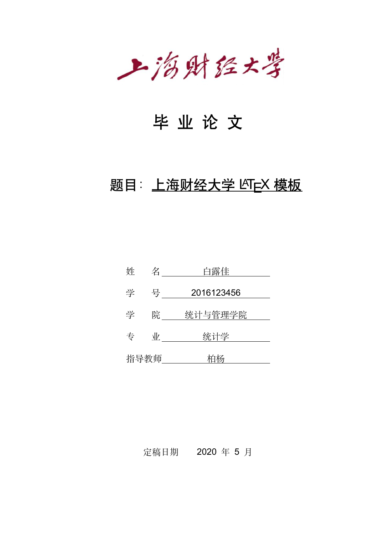上海财经大学

# 毕 业 论 文

# 题目: 上海财经大学 LATEX 模板

| 姓 | 名          | 白露佳        |
|---|------------|------------|
| 学 | 号          | 2016123456 |
| 学 | 院          | 统计与管理学院    |
| 专 | $\sqrt{k}$ | 统计学        |
|   | 指导教师       | 柏杨         |

定稿日期 2020 年 5 月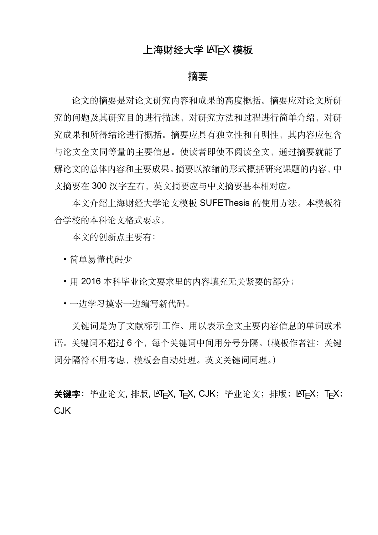## 上海财经大学 LATEX 模板

### 摘要

论文的摘要是对论文研究内容和成果的高度概括。摘要应对论文所研 究的问题及其研究目的进行描述,对研究方法和过程进行简单介绍,对研 究成果和所得结论进行概括。摘要应具有独立性和自明性,其内容应包含 与论文全文同等量的主要信息。使读者即使不阅读全文,通过摘要就能了 解论文的总体内容和主要成果。摘要以浓缩的形式概括研究课题的内容,中 文摘要在 300 汉字左右,英文摘要应与中文摘要基本相对应。

本文介绍上海财经大学论文模板 SUFEThesis 的使用方法。本模板符 合学校的本科论文格式要求。

本文的创新点主要有:

• 简单易懂代码少

• 用 2016 本科毕业论文要求里的内容填充无关紧要的部分;

• 一边学习摸索一边编写新代码。

关键词是为了文献标引工作、用以表示全文主要内容信息的单词或术 语。关键词不超过 6 个, 每个关键词中间用分号分隔。(模板作者注: 关键 词分隔符不用考虑,模板会自动处理。英文关键词同理。)

关键字: 毕业论文, 排版, LAT<sub>E</sub>X, T<sub>E</sub>X, CJK; 毕业论文; 排版; LAT<sub>E</sub>X; T<sub>E</sub>X; C.JK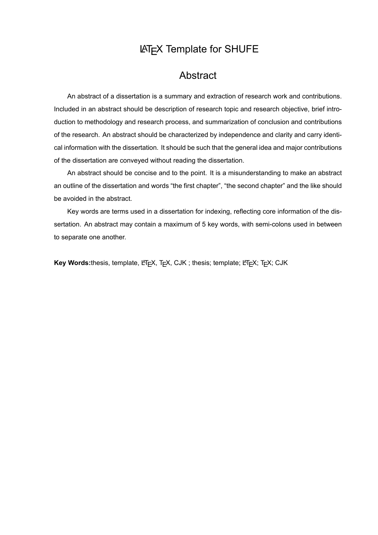## LATEX Template for SHUFE

## Abstract

An abstract of a dissertation is a summary and extraction of research work and contributions. Included in an abstract should be description of research topic and research objective, brief introduction to methodology and research process, and summarization of conclusion and contributions of the research. An abstract should be characterized by independence and clarity and carry identical information with the dissertation. It should be such that the general idea and major contributions of the dissertation are conveyed without reading the dissertation.

An abstract should be concise and to the point. It is a misunderstanding to make an abstract an outline of the dissertation and words "the first chapter", "the second chapter" and the like should be avoided in the abstract.

Key words are terms used in a dissertation for indexing, reflecting core information of the dissertation. An abstract may contain a maximum of 5 key words, with semi-colons used in between to separate one another.

Key Words:thesis, template, LATEX, TEX, CJK; thesis; template; LATEX; TEX; CJK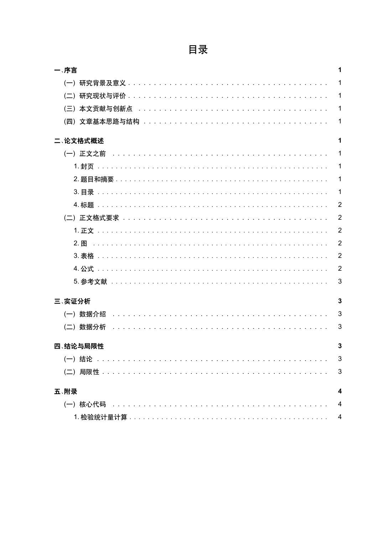| 一、序言     | 1              |
|----------|----------------|
|          | 1              |
|          | $\mathbf{1}$   |
|          | $\mathbf{1}$   |
|          | $\mathbf 1$    |
| 二、论文格式概述 | 1              |
|          | $\mathbf{1}$   |
|          | $\mathbf 1$    |
|          | 1              |
|          | $\mathbf{1}$   |
|          | $\overline{2}$ |
|          | $\overline{2}$ |
|          | $\overline{2}$ |
|          | $\overline{2}$ |
|          | $\overline{2}$ |
|          | $\overline{2}$ |
|          | 3              |
|          |                |
| 三、实证分析   | 3              |
|          | 3              |
|          | 3              |
| 四、结论与局限性 | 3              |
|          | 3              |
|          | 3              |
|          |                |
| 五、附录     |                |
|          | 4              |
|          | 4              |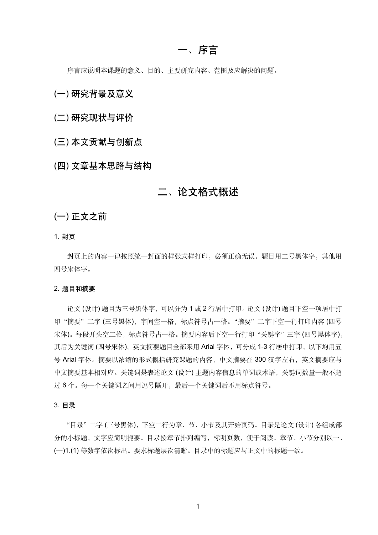### 一、序言

序言应说明本课题的意义、目的、主要研究内容、范围及应解决的问题。

### (一) 研究背景及意义

(二) 研究现状与评价

(三) 本文贡献与创新点

(四) 文章基本思路与结构

### 二、论文格式概述

### (一) 正文之前

1. 封页

封页上的内容一律按照统一封面的样张式样打印,必须正确无误。题目用二号黑体字,其他用 四号宋体字。

#### 2. 题目和摘要

论文 (设计) 题目为三号黑体字,可以分为 1 或 2 行居中打印。论文 (设计) 题目下空一项居中打 印"摘要"二字 (三号黑体), 字间空一格, 标点符号占一格。"摘要"二字下空一行打印内容 (四号 宋体)。每段开头空二格,标点符号占一格。摘要内容后下空一行打印"关键字"三字 (四号黑体字), 其后为关键词 (四号宋体)。英文摘要题目全部采用 Arial 字体, 可分成 1-3 行居中打印, 以下均用五 号 Arial 字体。摘要以浓缩的形式概括研究课题的内容,中文摘要在 300 汉字左右,英文摘要应与 中文摘要基本相对应。关键词是表述论文 (设计) 主题内容信息的单词或术语,关键词数量一般不超 过 6 个。每一个关键词之间用逗号隔开,最后一个关键词后不用标点符号。

#### 3. 目录

"目录"二字 (三号黑体),下空二行为章、节、小节及其开始页码。目录是论文 (设计) 各组成部 分的小标题,文字应简明扼要。目录按章节排列编写,标明页数,便于阅读。章节、小节分别以一、 (一)1.(1) 等数字依次标出。要求标题层次清晰。目录中的标题应与正文中的标题一致。

1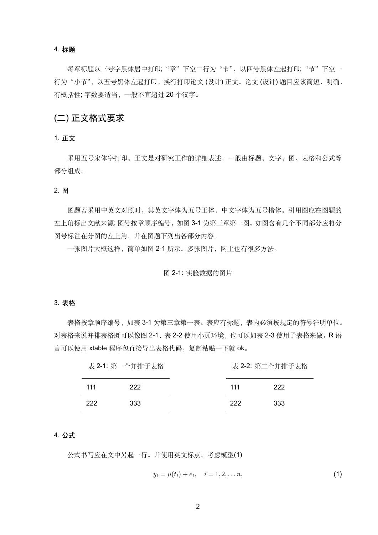#### 4. 标题

每章标题以三号字黑体居中打印;"章"下空二行为"节",以四号黑体左起打印;"节"下空一 行为"小节",以五号黑体左起打印。换行打印论文(设计)正文。论文(设计)题目应该简短、明确、 有概括性; 字数要适当,一般不宜超过 20 个汉字。

### (二) 正文格式要求

1. 正文

采用五号宋体字打印。正文是对研究工作的详细表述,一般由标题、文字、图、表格和公式等 部分组成。

#### 2. 图

图题若采用中英文对照时,其英文字体为五号正体,中文字体为五号楷体。引用图应在图题的 左上角标出文献来源; 图号按章顺序编号,如图 3-1 为第三章第一图。如图含有几个不同部分应将分 图号标注在分图的左上角,并在图题下列出各部分内容。

一张图片大概这样,简单如图 2-1 所示。多张图片,网上也有很多方法。

#### 图 2-1: 实验数据的图片

#### 3. 表格

表格按章顺序编号,如表 3-1 为第三章第一表。表应有标题,表内必须按规定的符号注明单位。 对表格来说并排表格既可以像图 2-1、表 2-2 使用小页环境, 也可以如表 2-3 使用子表格来做。R 语 言可以使用 xtable 程序包直接导出表格代码, 复制粘贴一下就 ok。

| 表 2-1: 第一个并排子表格 |     | 表 2-2: 第二个并排子表格 |     |
|-----------------|-----|-----------------|-----|
| 111             | 222 | 111             | 222 |
| 222             | 333 | 222             | 333 |

#### 4. 公式

公式书写应在文中另起一行。并使用英文标点。考虑模型(1)

$$
y_i = \mu(t_i) + e_i, \quad i = 1, 2, \dots n,
$$
 (1)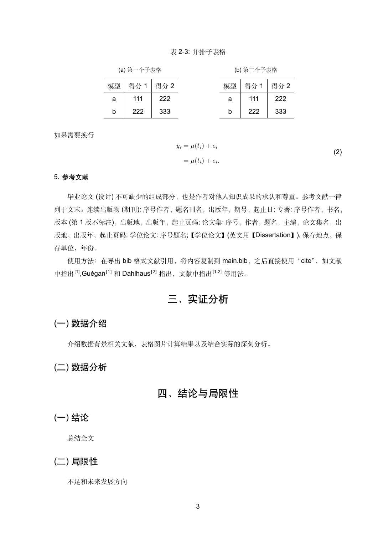#### 表 2-3: 并排子表格

| (a) 第一个子表格 |  |
|------------|--|
|------------|--|

(b) 第二个子表格

| 模型 | 得分1 得分2 |     | 模型 | 得分1 得分2 |     |
|----|---------|-----|----|---------|-----|
| a  | 111     | 222 | а  | 111     | 222 |
| b  | 222     | 333 | b  | 222     | 333 |

如果需要换行

 $y_i = \mu(t_i) + e_i$  $= \mu(t_i) + e_i.$ (2)

#### 5. 参考文献

毕业论文 (设计) 不可缺少的组成部分,也是作者对他人知识成果的承认和尊重。参考文献一律 列于文末。连续出版物(期刊): 序号作者, 题名刊名, 出版年, 期号, 起止日; 专著: 序号作者, 书名, 版本(第1版不标注),出版地,出版年,起止页码;论文集:序号,作者,题名,主编,论文集名,出 版地,出版年,起止页码; 学位论文: 序号题名;【学位论文】(英文用【Dissertation】), 保存地点, 保 存单位,年份。

使用方法: 在导出 bib 格式文献引用, 将内容复制到 main.bib, 之后直接使用"cite", 如文献 中指出<sup>[1]</sup>,Guégan<sup>[1]</sup> 和 Dahlhaus<sup>[2]</sup> 指出, 文献中指出<sup>[1-2]</sup> 等用法。

# 三、实证分析

### (一) 数据介绍

介绍数据背景相关文献,表格图片计算结果以及结合实际的深刻分析。

### (二) 数据分析

### 四、结论与局限性

### (一) 结论

总结全文

### (二) 局限性

不足和未来发展方向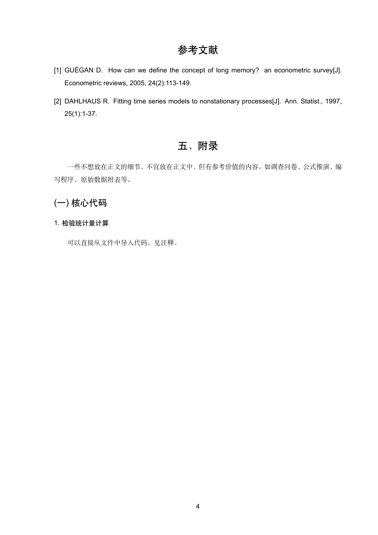# 参考文献

- [1] GUÉGAN D. How can we define the concept of long memory? an econometric survey[J]. Econometric reviews, 2005, 24(2):113-149.
- [2] DAHLHAUS R. Fitting time series models to nonstationary processes[J]. Ann. Statist., 1997, 25(1):1-37.

# 五、附录

一些不想放在正文的细节。不宜放在正文中,但有参考价值的内容。如调查问卷、公式推演、编 写程序、原始数据附表等。

## (一) 核心代码

#### 1. 检验统计量计算

可以直接从文件中导入代码。见注释。